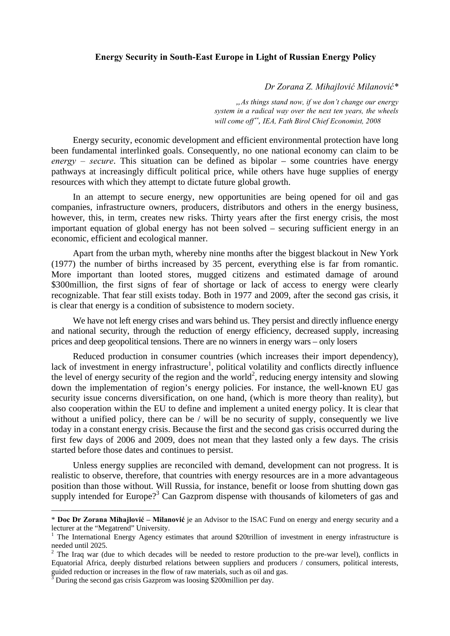## **Energy Security in South-East Europe in Light of Russian Energy Policy**

 *Dr Zorana Z. Mihajlović Milanović\** 

*"As things stand now, if we don't change our energy system in a radical way over the next ten years, the wheels will come off", IEA, Fath Birol Chief Economist, 2008* 

Energy security, economic development and efficient environmental protection have long been fundamental interlinked goals. Consequently, no one national economy can claim to be *energy – secure*. This situation can be defined as bipolar – some countries have energy pathways at increasingly difficult political price, while others have huge supplies of energy resources with which they attempt to dictate future global growth.

In an attempt to secure energy, new opportunities are being opened for oil and gas companies, infrastructure owners, producers, distributors and others in the energy business, however, this, in term, creates new risks. Thirty years after the first energy crisis, the most important equation of global energy has not been solved – securing sufficient energy in an economic, efficient and ecological manner.

Apart from the urban myth, whereby nine months after the biggest blackout in New York (1977) the number of births increased by 35 percent, everything else is far from romantic. More important than looted stores, mugged citizens and estimated damage of around \$300million, the first signs of fear of shortage or lack of access to energy were clearly recognizable. That fear still exists today. Both in 1977 and 2009, after the second gas crisis, it is clear that energy is a condition of subsistence to modern society.

We have not left energy crises and wars behind us. They persist and directly influence energy and national security, through the reduction of energy efficiency, decreased supply, increasing prices and deep geopolitical tensions. There are no winners in energy wars – only losers

Reduced production in consumer countries (which increases their import dependency), lack of investment in energy infrastructure<sup>1</sup>, political volatility and conflicts directly influence the level of energy security of the region and the world<sup>2</sup>, reducing energy intensity and slowing down the implementation of region's energy policies. For instance, the well-known EU gas security issue concerns diversification, on one hand, (which is more theory than reality), but also cooperation within the EU to define and implement a united energy policy. It is clear that without a unified policy, there can be / will be no security of supply, consequently we live today in a constant energy crisis. Because the first and the second gas crisis occurred during the first few days of 2006 and 2009, does not mean that they lasted only a few days. The crisis started before those dates and continues to persist.

Unless energy supplies are reconciled with demand, development can not progress. It is realistic to observe, therefore, that countries with energy resources are in a more advantageous position than those without. Will Russia, for instance, benefit or loose from shutting down gas supply intended for Europe?<sup>3</sup> Can Gazprom dispense with thousands of kilometers of gas and

 $\overline{a}$ 

<sup>\*</sup> **Doc Dr Zorana Mihajlović – Milanović** je an Advisor to the ISAC Fund on energy and energy security and a lecturer at the "Megatrend" University.

The International Energy Agency estimates that around \$20trillion of investment in energy infrastructure is needed until 2025.

 $2$  The Iraq war (due to which decades will be needed to restore production to the pre-war level), conflicts in Equatorial Africa, deeply disturbed relations between suppliers and producers / consumers, political interests, guided reduction or increases in the flow of raw materials, such as oil and gas. 3 During the second gas crisis Gazprom was loosing \$200million per day.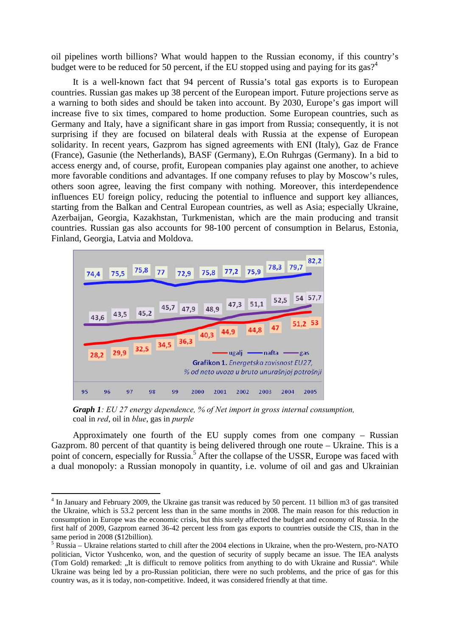oil pipelines worth billions? What would happen to the Russian economy, if this country's budget were to be reduced for 50 percent, if the EU stopped using and paying for its gas?<sup>4</sup>

It is a well-known fact that 94 percent of Russia's total gas exports is to European countries. Russian gas makes up 38 percent of the European import. Future projections serve as a warning to both sides and should be taken into account. By 2030, Europe's gas import will increase five to six times, compared to home production. Some European countries, such as Germany and Italy, have a significant share in gas import from Russia; consequently, it is not surprising if they are focused on bilateral deals with Russia at the expense of European solidarity. In recent years, Gazprom has signed agreements with ENI (Italy), Gaz de France (France), Gasunie (the Netherlands), BASF (Germany), E.On Ruhrgas (Germany). In a bid to access energy and, of course, profit, European companies play against one another, to achieve more favorable conditions and advantages. If one company refuses to play by Moscow's rules, others soon agree, leaving the first company with nothing. Moreover, this interdependence influences EU foreign policy, reducing the potential to influence and support key alliances, starting from the Balkan and Central European countries, as well as Asia; especially Ukraine, Azerbaijan, Georgia, Kazakhstan, Turkmenistan, which are the main producing and transit countries. Russian gas also accounts for 98-100 percent of consumption in Belarus, Estonia, Finland, Georgia, Latvia and Moldova.



*Graph 1: EU 27 energy dependence, % of Net import in gross internal consumption,*  coal in *red*, oil in *blue*, gas in *purple* 

 $\overline{a}$ 

Approximately one fourth of the EU supply comes from one company – Russian Gazprom. 80 percent of that quantity is being delivered through one route – Ukraine. This is a point of concern, especially for Russia.<sup>5</sup> After the collapse of the USSR, Europe was faced with a dual monopoly: a Russian monopoly in quantity, i.e. volume of oil and gas and Ukrainian

<sup>&</sup>lt;sup>4</sup> In January and February 2009, the Ukraine gas transit was reduced by 50 percent. 11 billion m3 of gas transited the Ukraine, which is 53.2 percent less than in the same months in 2008. The main reason for this reduction in consumption in Europe was the economic crisis, but this surely affected the budget and economy of Russia. In the first half of 2009, Gazprom earned 36-42 percent less from gas exports to countries outside the CIS, than in the same period in 2008 (\$12billion).

<sup>&</sup>lt;sup>5</sup> Russia – Ukraine relations started to chill after the 2004 elections in Ukraine, when the pro-Western, pro-NATO politician, Victor Yushcenko, won, and the question of security of supply became an issue. The IEA analysts (Tom Gold) remarked: "It is difficult to remove politics from anything to do with Ukraine and Russia". While Ukraine was being led by a pro-Russian politician, there were no such problems, and the price of gas for this country was, as it is today, non-competitive. Indeed, it was considered friendly at that time.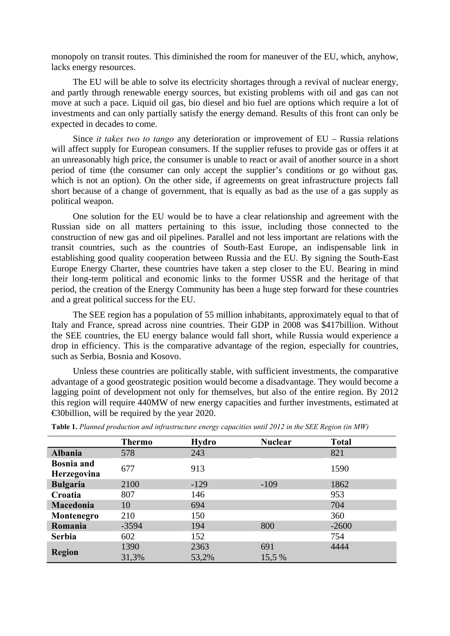monopoly on transit routes. This diminished the room for maneuver of the EU, which, anyhow, lacks energy resources.

The EU will be able to solve its electricity shortages through a revival of nuclear energy, and partly through renewable energy sources, but existing problems with oil and gas can not move at such a pace. Liquid oil gas, bio diesel and bio fuel are options which require a lot of investments and can only partially satisfy the energy demand. Results of this front can only be expected in decades to come.

Since *it takes two to tango* any deterioration or improvement of EU – Russia relations will affect supply for European consumers. If the supplier refuses to provide gas or offers it at an unreasonably high price, the consumer is unable to react or avail of another source in a short period of time (the consumer can only accept the supplier's conditions or go without gas*,*  which is not an option). On the other side, if agreements on great infrastructure projects fall short because of a change of government, that is equally as bad as the use of a gas supply as political weapon.

One solution for the EU would be to have a clear relationship and agreement with the Russian side on all matters pertaining to this issue, including those connected to the construction of new gas and oil pipelines. Parallel and not less important are relations with the transit countries, such as the countries of South-East Europe, an indispensable link in establishing good quality cooperation between Russia and the EU. By signing the South-East Europe Energy Charter, these countries have taken a step closer to the EU. Bearing in mind their long-term political and economic links to the former USSR and the heritage of that period, the creation of the Energy Community has been a huge step forward for these countries and a great political success for the EU.

The SEE region has a population of 55 million inhabitants, approximately equal to that of Italy and France, spread across nine countries. Their GDP in 2008 was \$417billion. Without the SEE countries, the EU energy balance would fall short, while Russia would experience a drop in efficiency. This is the comparative advantage of the region, especially for countries, such as Serbia, Bosnia and Kosovo.

Unless these countries are politically stable, with sufficient investments, the comparative advantage of a good geostrategic position would become a disadvantage. They would become a lagging point of development not only for themselves, but also of the entire region. By 2012 this region will require 440MW of new energy capacities and further investments, estimated at €30billion, will be required by the year 2020.

|                                  | <b>Thermo</b> | <b>Hydro</b>  | <b>Nuclear</b> | <b>Total</b> |
|----------------------------------|---------------|---------------|----------------|--------------|
| <b>Albania</b>                   | 578           | 243           |                | 821          |
| <b>Bosnia</b> and<br>Herzegovina | 677           | 913           |                | 1590         |
| <b>Bulgaria</b>                  | 2100          | $-129$        | $-109$         | 1862         |
| Croatia                          | 807           | 146           |                | 953          |
| Macedonia                        | 10            | 694           |                | 704          |
| Montenegro                       | 210           | 150           |                | 360          |
| Romania                          | $-3594$       | 194           | 800            | $-2600$      |
| <b>Serbia</b>                    | 602           | 152           |                | 754          |
| <b>Region</b>                    | 1390<br>31,3% | 2363<br>53,2% | 691<br>15,5 %  | 4444         |

**Table 1.** *Planned production and infrastructure energy capacities until 2012 in the SEE Region (in MW)*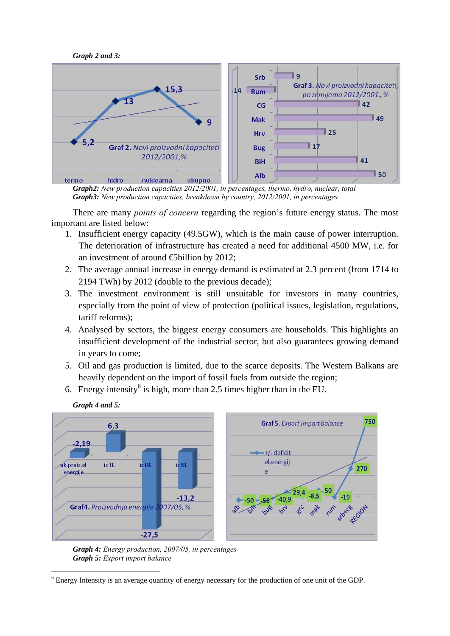



*Graph2: New production capacities 2012/2001, in percentages, thermo, hydro, nuclear, total Graph3: New production capacities, breakdown by country, 2012/2001, in percentages* 

There are many *points of concern* regarding the region's future energy status. The most important are listed below:

- 1. Insufficient energy capacity (49.5GW), which is the main cause of power interruption. The deterioration of infrastructure has created a need for additional 4500 MW, i.e. for an investment of around  $\bigoplus$ billion by 2012;
- 2. The average annual increase in energy demand is estimated at 2.3 percent (from 1714 to 2194 TWh) by 2012 (double to the previous decade);
- 3. The investment environment is still unsuitable for investors in many countries, especially from the point of view of protection (political issues, legislation, regulations, tariff reforms);
- 4. Analysed by sectors, the biggest energy consumers are households. This highlights an insufficient development of the industrial sector, but also guarantees growing demand in years to come;
- 5. Oil and gas production is limited, due to the scarce deposits. The Western Balkans are heavily dependent on the import of fossil fuels from outside the region;
- 6. Energy intensity<sup>6</sup> is high, more than 2.5 times higher than in the EU.



*Graph 4 and 5:* 

*Graph 4: Energy production, 2007/05, in percentages Graph 5: Export import balance* 

 $\overline{a}$ <sup>6</sup> Energy Intensity is an average quantity of energy necessary for the production of one unit of the GDP.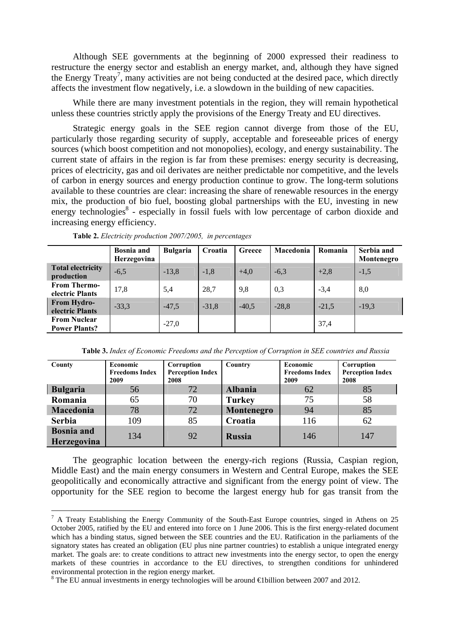Although SEE governments at the beginning of 2000 expressed their readiness to restructure the energy sector and establish an energy market, and, although they have signed the Energy Treaty<sup>7</sup>, many activities are not being conducted at the desired pace, which directly affects the investment flow negatively, i.e. a slowdown in the building of new capacities.

While there are many investment potentials in the region, they will remain hypothetical unless these countries strictly apply the provisions of the Energy Treaty and EU directives.

Strategic energy goals in the SEE region cannot diverge from those of the EU, particularly those regarding security of supply, acceptable and foreseeable prices of energy sources (which boost competition and not monopolies), ecology, and energy sustainability. The current state of affairs in the region is far from these premises: energy security is decreasing, prices of electricity, gas and oil derivates are neither predictable nor competitive, and the levels of carbon in energy sources and energy production continue to grow. The long-term solutions available to these countries are clear: increasing the share of renewable resources in the energy mix, the production of bio fuel, boosting global partnerships with the EU, investing in new energy technologies<sup>8</sup> - especially in fossil fuels with low percentage of carbon dioxide and increasing energy efficiency.

|                                             | <b>Bosnia</b> and<br>Herzegovina | <b>Bulgaria</b> | Croatia | Greece  | Macedonia | Romania | Serbia and<br>Montenegro |
|---------------------------------------------|----------------------------------|-----------------|---------|---------|-----------|---------|--------------------------|
| <b>Total electricity</b><br>production      | $-6,5$                           | $-13,8$         | $-1,8$  | $+4.0$  | $-6,3$    | $+2,8$  | $-1,5$                   |
| <b>From Thermo-</b><br>electric Plants      | 17,8                             | 5,4             | 28,7    | 9,8     | 0.3       | $-3,4$  | 8,0                      |
| From Hydro-<br>electric Plants              | $-33,3$                          | $-47.5$         | $-31.8$ | $-40.5$ | $-28.8$   | $-21,5$ | $-19,3$                  |
| <b>From Nuclear</b><br><b>Power Plants?</b> |                                  | $-27,0$         |         |         |           | 37,4    |                          |

**Table 2.** *Electricity production 2007/2005, in percentages* 

 $\overline{a}$ 

**Table 3.** *Index of Economic Freedoms and the Perception of Corruption in SEE countries and Russia*

| County                           | Economic<br><b>Freedoms Index</b><br>2009 | Corruption<br><b>Perception Index</b><br>2008 | Country        | Economic<br><b>Freedoms Index</b><br>2009 | Corruption<br><b>Perception Index</b><br>2008 |
|----------------------------------|-------------------------------------------|-----------------------------------------------|----------------|-------------------------------------------|-----------------------------------------------|
| <b>Bulgaria</b>                  | 56                                        | 72                                            | <b>Albania</b> | 62                                        | 85                                            |
| Romania                          | 65                                        | 70                                            | <b>Turkey</b>  | 75                                        | 58                                            |
| Macedonia                        | 78                                        | 72                                            | Montenegro     | 94                                        | 85                                            |
| <b>Serbia</b>                    | 109                                       | 85                                            | Croatia        | 116                                       | 62                                            |
| <b>Bosnia</b> and<br>Herzegovina | 134                                       | 92                                            | <b>Russia</b>  | 146                                       | 147                                           |

The geographic location between the energy-rich regions (Russia, Caspian region, Middle East) and the main energy consumers in Western and Central Europe, makes the SEE geopolitically and economically attractive and significant from the energy point of view. The opportunity for the SEE region to become the largest energy hub for gas transit from the

 $<sup>7</sup>$  A Treaty Establishing the Energy Community of the South-East Europe countries, singed in Athens on 25</sup> October 2005, ratified by the EU and entered into force on 1 June 2006. This is the first energy-related document which has a binding status, signed between the SEE countries and the EU. Ratification in the parliaments of the signatory states has created an obligation (EU plus nine partner countries) to establish a unique integrated energy market. The goals are: to create conditions to attract new investments into the energy sector, to open the energy markets of these countries in accordance to the EU directives, to strengthen conditions for unhindered environmental protection in the region energy market.

<sup>&</sup>lt;sup>8</sup> The EU annual investments in energy technologies will be around  $\bigoplus$  billion between 2007 and 2012.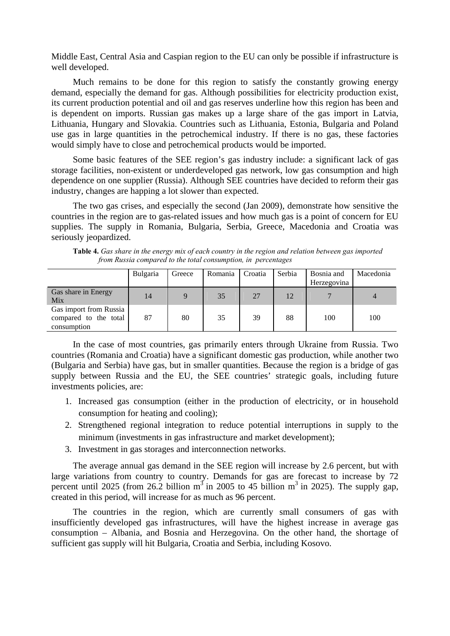Middle East, Central Asia and Caspian region to the EU can only be possible if infrastructure is well developed.

Much remains to be done for this region to satisfy the constantly growing energy demand, especially the demand for gas. Although possibilities for electricity production exist, its current production potential and oil and gas reserves underline how this region has been and is dependent on imports. Russian gas makes up a large share of the gas import in Latvia, Lithuania, Hungary and Slovakia. Countries such as Lithuania, Estonia, Bulgaria and Poland use gas in large quantities in the petrochemical industry. If there is no gas, these factories would simply have to close and petrochemical products would be imported.

Some basic features of the SEE region's gas industry include: a significant lack of gas storage facilities, non-existent or underdeveloped gas network, low gas consumption and high dependence on one supplier (Russia). Although SEE countries have decided to reform their gas industry, changes are happing a lot slower than expected.

The two gas crises, and especially the second (Jan 2009), demonstrate how sensitive the countries in the region are to gas-related issues and how much gas is a point of concern for EU supplies. The supply in Romania, Bulgaria, Serbia, Greece, Macedonia and Croatia was seriously jeopardized.

**Table 4.** *Gas share in the energy mix of each country in the region and relation between gas imported from Russia compared to the total consumption, in percentages* 

|                                                                | Bulgaria | Greece | Romania | Croatia | Serbia | Bosnia and<br>Herzegovina | Macedonia |
|----------------------------------------------------------------|----------|--------|---------|---------|--------|---------------------------|-----------|
| Gas share in Energy<br>Mix                                     | 14       |        | 35      | 27      | 12     |                           | 4         |
| Gas import from Russia<br>compared to the total<br>consumption | 87       | 80     | 35      | 39      | 88     | 100                       | 100       |

In the case of most countries, gas primarily enters through Ukraine from Russia. Two countries (Romania and Croatia) have a significant domestic gas production, while another two (Bulgaria and Serbia) have gas, but in smaller quantities. Because the region is a bridge of gas supply between Russia and the EU, the SEE countries' strategic goals, including future investments policies, are:

- 1. Increased gas consumption (either in the production of electricity, or in household consumption for heating and cooling);
- 2. Strengthened regional integration to reduce potential interruptions in supply to the minimum (investments in gas infrastructure and market development);
- 3. Investment in gas storages and interconnection networks.

The average annual gas demand in the SEE region will increase by 2.6 percent, but with large variations from country to country. Demands for gas are forecast to increase by 72 percent until 2025 (from 26.2 billion  $m^3$  in 2005 to 45 billion  $m^3$  in 2025). The supply gap, created in this period, will increase for as much as 96 percent.

The countries in the region, which are currently small consumers of gas with insufficiently developed gas infrastructures, will have the highest increase in average gas consumption – Albania, and Bosnia and Herzegovina. On the other hand, the shortage of sufficient gas supply will hit Bulgaria, Croatia and Serbia, including Kosovo.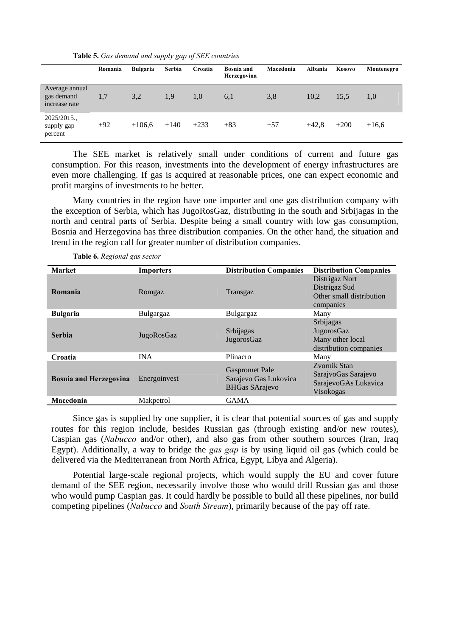**Table 5.** *Gas demand and supply gap of SEE countries* 

|                                               | Romania | Bulgaria | Serbia | Croatia | <b>Bosnia and</b><br>Herzegovina | Macedonia | Albania | Kosovo | Montenegro |
|-----------------------------------------------|---------|----------|--------|---------|----------------------------------|-----------|---------|--------|------------|
| Average annual<br>gas demand<br>increase rate | 1,7     | 3,2      | 1.9    | 1.0     | 6,1                              | 3,8       | 10.2    | 15.5   | 1.0        |
| $2025/2015$ .<br>supply gap<br>percent        | $+92$   | $+106.6$ | $+140$ | $+233$  | $+83$                            | $+57$     | $+42.8$ | $+200$ | $+16,6$    |

The SEE market is relatively small under conditions of current and future gas consumption. For this reason, investments into the development of energy infrastructures are even more challenging. If gas is acquired at reasonable prices, one can expect economic and profit margins of investments to be better.

Many countries in the region have one importer and one gas distribution company with the exception of Serbia, which has JugoRosGaz, distributing in the south and Srbijagas in the north and central parts of Serbia. Despite being a small country with low gas consumption, Bosnia and Herzegovina has three distribution companies. On the other hand, the situation and trend in the region call for greater number of distribution companies.

| <b>Market</b>                 | <b>Importers</b> | <b>Distribution Companies</b>                                           | <b>Distribution Companies</b>                                            |
|-------------------------------|------------------|-------------------------------------------------------------------------|--------------------------------------------------------------------------|
| Romania                       | Romgaz           | Transgaz                                                                | Distrigaz Nort<br>Distrigaz Sud<br>Other small distribution<br>companies |
| <b>Bulgaria</b>               | Bulgargaz        | Bulgargaz                                                               | Many                                                                     |
| <b>Serbia</b>                 | JugoRosGaz       | Srbijagas<br>JugorosGaz                                                 | Srbijagas<br>JugorosGaz<br>Many other local<br>distribution companies    |
| Croatia                       | <b>INA</b>       | Plinacro                                                                | Many                                                                     |
| <b>Bosnia and Herzegovina</b> | Energoinvest     | <b>Gaspromet Pale</b><br>Sarajevo Gas Lukovica<br><b>BHGas SArajevo</b> | Zvornik Stan<br>SarajvoGas Sarajevo<br>SarajevoGAs Lukavica<br>Visokogas |
| Macedonia                     | Makpetrol        | <b>GAMA</b>                                                             |                                                                          |

**Table 6.** *Regional gas sector* 

Since gas is supplied by one supplier, it is clear that potential sources of gas and supply routes for this region include, besides Russian gas (through existing and/or new routes), Caspian gas (*Nabucco* and/or other), and also gas from other southern sources (Iran, Iraq Egypt). Additionally, a way to bridge the *gas gap* is by using liquid oil gas (which could be delivered via the Mediterranean from North Africa, Egypt, Libya and Algeria).

Potential large-scale regional projects, which would supply the EU and cover future demand of the SEE region, necessarily involve those who would drill Russian gas and those who would pump Caspian gas. It could hardly be possible to build all these pipelines, nor build competing pipelines (*Nabucco* and *South Stream*), primarily because of the pay off rate.